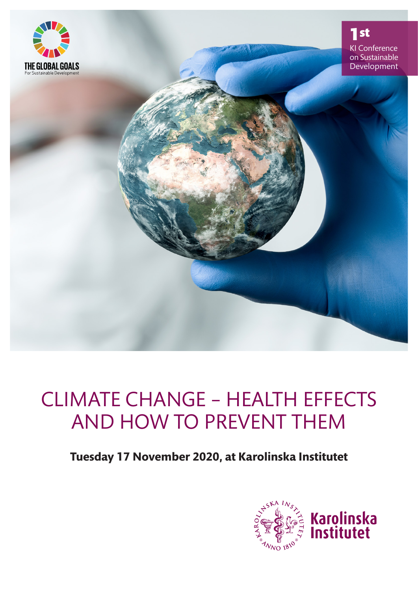

## CLIMATE CHANGE – HEALTH EFFECTS AND HOW TO PREVENT THEM

**Tuesday 17 November 2020, at Karolinska Institutet**